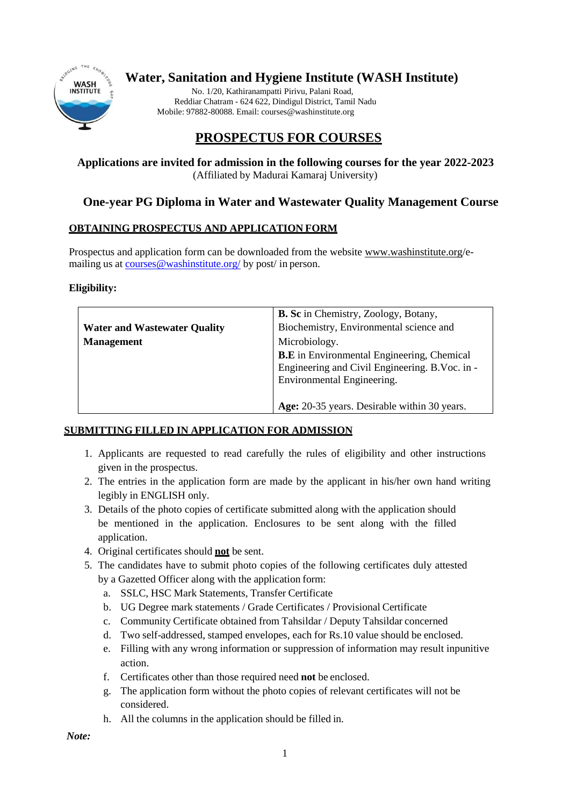

# **Water, Sanitation and Hygiene Institute (WASH Institute)**

No. 1/20, Kathiranampatti Pirivu, Palani Road, Reddiar Chatram - 624 622, Dindigul District, Tamil Nadu Mobile: 97882-80088. Email: [courses@washinstitute.org](mailto:courses@washinstitute.org)

# **PROSPECTUS FOR COURSES**

#### **Applications are invited for admission in the following courses for the year 2022-2023** (Affiliated by Madurai Kamaraj University)

## **One-year PG Diploma in Water and Wastewater Quality Management Course**

### **OBTAINING PROSPECTUS AND APPLICATION FORM**

Prospectus and application form can be downloaded from the website [www.washinstitute.org/](http://www.washinstitute.org/)emailing us at courses@washinstitute.org/ by post/ in person.

#### **Eligibility:**

|                                     | <b>B. Sc</b> in Chemistry, Zoology, Botany,       |  |
|-------------------------------------|---------------------------------------------------|--|
|                                     | Biochemistry, Environmental science and           |  |
| <b>Water and Wastewater Quality</b> |                                                   |  |
| <b>Management</b>                   | Microbiology.                                     |  |
|                                     | <b>B.E</b> in Environmental Engineering, Chemical |  |
|                                     | Engineering and Civil Engineering. B. Voc. in -   |  |
|                                     | Environmental Engineering.                        |  |
|                                     |                                                   |  |
|                                     | Age: 20-35 years. Desirable within 30 years.      |  |

#### **SUBMITTING FILLED IN APPLICATION FOR ADMISSION**

- 1. Applicants are requested to read carefully the rules of eligibility and other instructions given in the prospectus.
- 2. The entries in the application form are made by the applicant in his/her own hand writing legibly in ENGLISH only.
- 3. Details of the photo copies of certificate submitted along with the application should be mentioned in the application. Enclosures to be sent along with the filled application.
- 4. Original certificates should **not** be sent.
- 5. The candidates have to submit photo copies of the following certificates duly attested by a Gazetted Officer along with the application form:
	- a. SSLC, HSC Mark Statements, Transfer Certificate
	- b. UG Degree mark statements / Grade Certificates / Provisional Certificate
	- c. Community Certificate obtained from Tahsildar / Deputy Tahsildar concerned
	- d. Two self-addressed, stamped envelopes, each for Rs.10 value should be enclosed.
	- e. Filling with any wrong information or suppression of information may result inpunitive action.
	- f. Certificates other than those required need **not** be enclosed.
	- g. The application form without the photo copies of relevant certificates will not be considered.
	- h. All the columns in the application should be filled in.

*Note:*